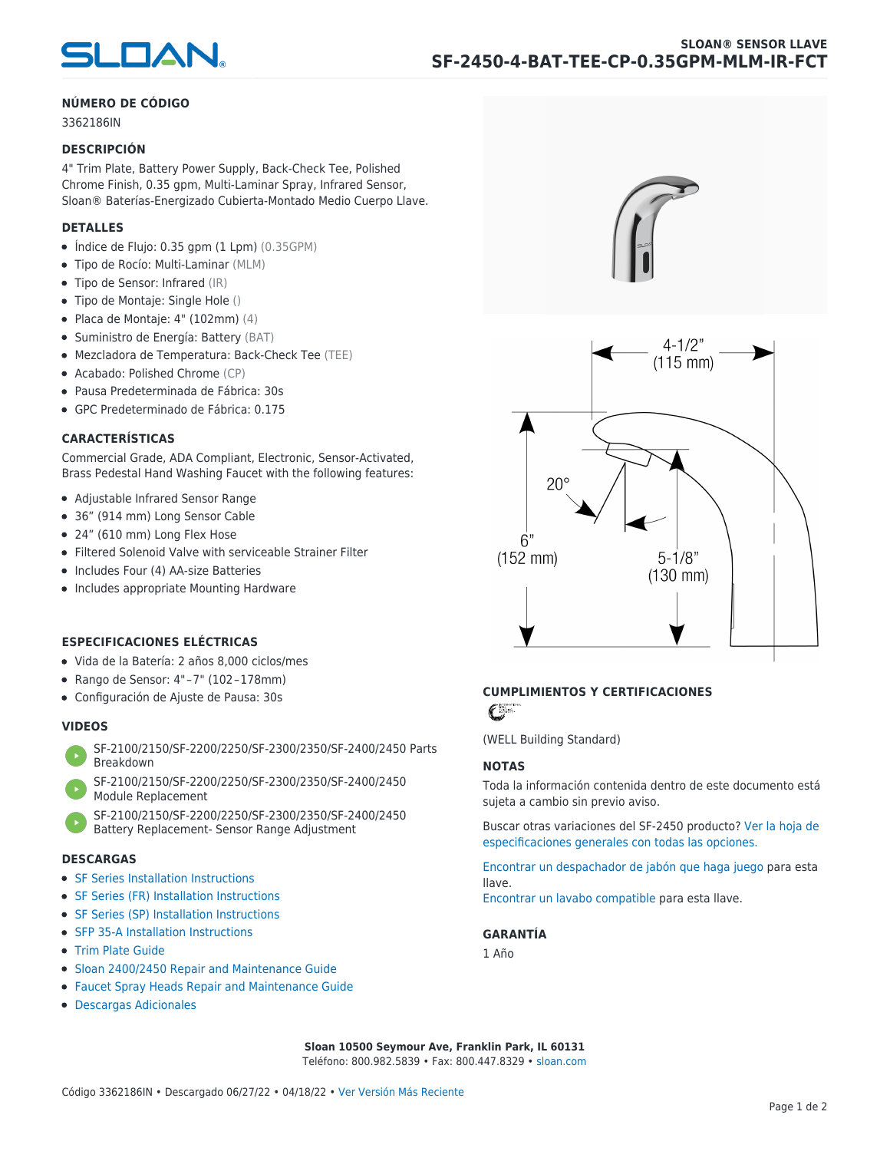

#### **NÚMERO DE CÓDIGO**

3362186IN

#### **DESCRIPCIÓN**

4" Trim Plate, Battery Power Supply, Back-Check Tee, Polished Chrome Finish, 0.35 gpm, Multi-Laminar Spray, Infrared Sensor, Sloan® Baterías-Energizado Cubierta-Montado Medio Cuerpo Llave.

#### **DETALLES**

- $\bullet$  Índice de Flujo: 0.35 gpm (1 Lpm) (0.35GPM)
- Tipo de Rocío: Multi-Laminar (MLM)
- Tipo de Sensor: Infrared (IR)
- Tipo de Montaje: Single Hole ()
- $\bullet$  Placa de Montaje: 4" (102mm) (4)
- Suministro de Energía: Battery (BAT)
- Mezcladora de Temperatura: Back-Check Tee (TEE)
- Acabado: Polished Chrome (CP)
- Pausa Predeterminada de Fábrica: 30s
- GPC Predeterminado de Fábrica: 0.175

#### **CARACTERÍSTICAS**

Commercial Grade, ADA Compliant, Electronic, Sensor-Activated, Brass Pedestal Hand Washing Faucet with the following features:

- Adjustable Infrared Sensor Range
- 36" (914 mm) Long Sensor Cable
- 24" (610 mm) Long Flex Hose
- Filtered Solenoid Valve with serviceable Strainer Filter
- Includes Four (4) AA-size Batteries
- Includes appropriate Mounting Hardware

#### **ESPECIFICACIONES ELÉCTRICAS**

- Vida de la Batería: 2 años 8,000 ciclos/mes
- Rango de Sensor: 4" – 7" (102 – 178mm)
- Configuración de Ajuste de Pausa: 30s

#### **VIDEOS**

- [SF-2100/2150/SF-2200/2250/SF-2300/2350/SF-2400/2450 Parts](https://vimeo.com/307089947) [Breakdown](https://vimeo.com/307089947)
- [SF-2100/2150/SF-2200/2250/SF-2300/2350/SF-2400/2450](https://vimeo.com/307087494) [Module Replacement](https://vimeo.com/307087494)
- [SF-2100/2150/SF-2200/2250/SF-2300/2350/SF-2400/2450](https://vimeo.com/307085279) [Battery Replacement- Sensor Range Adjustment](https://vimeo.com/307085279)

#### **DESCARGAS**

- [SF Series Installation Instructions](https://www.sloan.com/sites/default/files/2018-02/II0816496Rev5_0.pdf)
- [SF Series \(FR\) Installation Instructions](https://www.sloan.com/sites/default/files/2015-12/0816563-fr.pdf)
- [SF Series \(SP\) Installation Instructions](https://www.sloan.com/sites/default/files/2022-03/0816568SP_Rev2.pdf)
- [SFP 35-A Installation Instructions](https://www.sloan.com/sites/default/files/2015-12/0816817.pdf)
- [Trim Plate Guide](https://www.sloan.com/sites/default/files/2020-03/Trim_PlatesAllFaucets.pdf)
- [Sloan 2400/2450 Repair and Maintenance Guide](https://www.sloan.com/sites/default/files/2022-06/Sloan-SF-2400-2450.pdf)
- [Faucet Spray Heads Repair and Maintenance Guide](https://www.sloan.com/sites/default/files/2020-03/Optima-OptimaPlusFaucet_Spray_Heads.pdf)
- [Descargas Adicionales](https://www.sloan.com/commercial-bathroom-products/faucets/sloan/sf-2450)





## **CUMPLIMIENTOS Y CERTIFICACIONES**

C

(WELL Building Standard)

#### **NOTAS**

Toda la información contenida dentro de este documento está sujeta a cambio sin previo aviso.

[Buscar otras variaciones del SF-2450 producto? Ver la hoja de](https://www.sloan.com/es/general-spec/441) [especificaciones generales con todas las opciones.](https://www.sloan.com/es/general-spec/441)

[Encontrar un despachador de jabón que haga juego](https://www.sloan.com/es/commercial-bathroom-products/soap-dispensers) para esta llave.

[Encontrar un lavabo compatible](https://www.sloan.com/es/commercial-bathroom-products/sinks) para esta llave.

#### **GARANTÍA**

1 Año

**Sloan 10500 Seymour Ave, Franklin Park, IL 60131** Teléfono: 800.982.5839 • Fax: 800.447.8329 • [sloan.com](https://www.sloan.com)